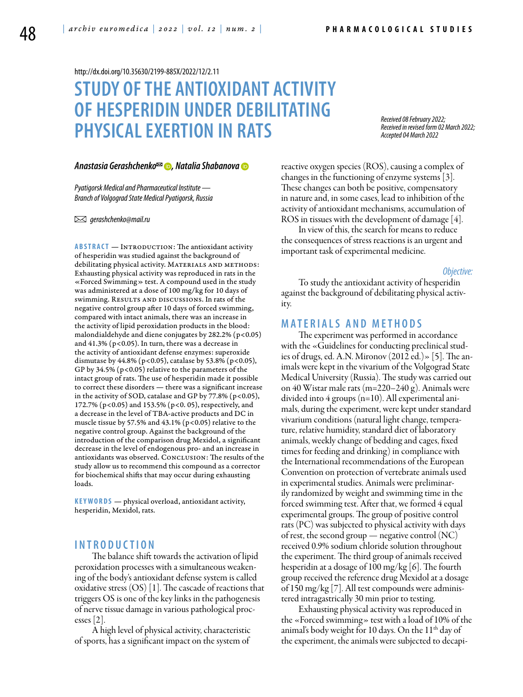<http://dx.doi.org/10.35630/2199-885X/2022/12/2.11>

# **STUDY OF THE ANTIOXIDANT ACTIVITY OF HESPERIDIN UNDER DEBILITATING PHYSICAL EXERTION IN RATS**

*Received 08 February 2022; Received in revised form 02 March 2022; Accepted 04 March 2022*

#### *[Anastasia Gerashchenko](https://orcid.org/0000-0003-0294-2926) , [Natalia Shabanova](http://orcid.org/0000-0002-7693-5182)*

*Pyatigorsk Medical and Pharmaceutical Institute — Branch of Volgograd State Medical Pyatigorsk, Russia* 

 *gerashchenko@mail.ru*

**ABSTRACT** — INTRODUCTION: The antioxidant activity of hesperidin was studied against the background of debilitating physical activity. MATERIALS AND METHODS: Exhausting physical activity was reproduced in rats in the «Forced Swimming» test. A compound used in the study was administered at a dose of 100 mg/kg for 10 days of swimming. RESULTS AND DISCUSSIONS. In rats of the negative control group after 10 days of forced swimming, compared with intact animals, there was an increase in the activity of lipid peroxidation products in the blood: malondialdehyde and diene conjugates by  $282.2\%$  (p<0.05) and  $41.3\%$  (p<0.05). In turn, there was a decrease in the activity of antioxidant defense enzymes: superoxide dismutase by 44.8% (p<0.05), catalase by 53.8% (p<0.05), GP by 34.5% (p<0.05) relative to the parameters of the intact group of rats. The use of hesperidin made it possible to correct these disorders — there was a significant increase in the activity of SOD, catalase and GP by  $77.8\%$  (p<0.05), 172.7% (p<0.05) and 153.5% (p<0. 05), respectively, and a decrease in the level of TBA-active products and DC in muscle tissue by 57.5% and 43.1% ( $p<0.05$ ) relative to the negative control group. Against the background of the introduction of the comparison drug Mexidol, a significant decrease in the level of endogenous pro- and an increase in antioxidants was observed. CONCLUSION: The results of the study allow us to recommend this compound as a corrector for biochemical shifts that may occur during exhausting loads.

**K eywords** — physical overload, antioxidant activity, hesperidin, Mexidol, rats.

### **I n t r o ducti o n**

The balance shift towards the activation of lipid peroxidation processes with a simultaneous weakening of the body's antioxidant defense system is called oxidative stress (OS) [1]. The cascade of reactions that triggers OS is one of the key links in the pathogenesis of nerve tissue damage in various pathological processes [2].

A high level of physical activity, characteristic of sports, has a significant impact on the system of

reactive oxygen species (ROS), causing a complex of changes in the functioning of enzyme systems [3]. These changes can both be positive, compensatory in nature and, in some cases, lead to inhibition of the activity of antioxidant mechanisms, accumulation of ROS in tissues with the development of damage [4].

In view of this, the search for means to reduce the consequences of stress reactions is an urgent and important task of experimental medicine.

#### *Objective:*

To study the antioxidant activity of hesperidin against the background of debilitating physical activity.

### **Mat e rials a n d me t h o d s**

The experiment was performed in accordance with the «Guidelines for conducting preclinical studies of drugs, ed. A.N. Mironov (2012 ed.)» [5]. The animals were kept in the vivarium of the Volgograd State Medical University (Russia). The study was carried out on 40 Wistar male rats (m=220–240 g). Animals were divided into 4 groups (n=10). All experimental animals, during the experiment, were kept under standard vivarium conditions (natural light change, temperature, relative humidity, standard diet of laboratory animals, weekly change of bedding and cages, fixed times for feeding and drinking) in compliance with the International recommendations of the European Convention on protection of vertebrate animals used in experimental studies. Animals were preliminarily randomized by weight and swimming time in the forced swimming test. After that, we formed 4 equal experimental groups. The group of positive control rats (PC) was subjected to physical activity with days of rest, the second group — negative control  $(NC)$ received 0.9% sodium chloride solution throughout the experiment. The third group of animals received hesperidin at a dosage of 100 mg/kg [6]. The fourth group received the reference drug Mexidol at a dosage of 150 mg/kg [7]. All test compounds were administered intragastrically 30 min prior to testing.

Exhausting physical activity was reproduced in the «Forced swimming» test with a load of 10% of the animal's body weight for 10 days. On the  $11<sup>th</sup>$  day of the experiment, the animals were subjected to decapi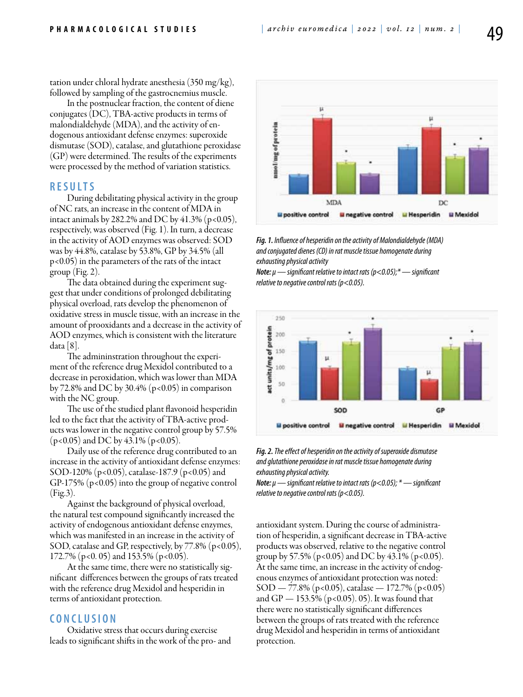tation under chloral hydrate anesthesia (350 mg/kg), followed by sampling of the gastrocnemius muscle.

In the postnuclear fraction, the content of diene conjugates (DC), TBA-active products in terms of malondialdehyde (MDA), and the activity of endogenous antioxidant defense enzymes: superoxide dismutase (SOD), catalase, and glutathione peroxidase (GP) were determined. The results of the experiments were processed by the method of variation statistics.

#### **R e s ult s**

During debilitating physical activity in the group of NC rats, an increase in the content of MDA in intact animals by 282.2% and DC by 41.3% ( $p < 0.05$ ), respectively, was observed (Fig. 1). In turn, a decrease in the activity of AOD enzymes was observed: SOD was by 44.8%, catalase by 53.8%, GP by 34.5% (all p<0.05) in the parameters of the rats of the intact group (Fig. 2).

The data obtained during the experiment suggest that under conditions of prolonged debilitating physical overload, rats develop the phenomenon of oxidative stress in muscle tissue, with an increase in the amount of prooxidants and a decrease in the activity of AOD enzymes, which is consistent with the literature data  $|8|$ .

The admininstration throughout the experiment of the reference drug Mexidol contributed to a decrease in peroxidation, which was lower than MDA by 72.8% and DC by 30.4% ( $p<0.05$ ) in comparison with the NC group.

The use of the studied plant flavonoid hesperidin led to the fact that the activity of TBA-active products was lower in the negative control group by 57.5%  $(p<0.05)$  and DC by 43.1% (p<0.05).

Daily use of the reference drug contributed to an increase in the activity of antioxidant defense enzymes: SOD-120% (p<0.05), catalase-187.9 (p<0.05) and GP-175% (p<0.05) into the group of negative control (Fig.3).

Against the background of physical overload, the natural test compound significantly increased the activity of endogenous antioxidant defense enzymes, which was manifested in an increase in the activity of SOD, catalase and GP, respectively, by 77.8% (p<0.05), 172.7% (p<0. 05) and 153.5% (p<0.05).

At the same time, there were no statistically significant differences between the groups of rats treated with the reference drug Mexidol and hesperidin in terms of antioxidant protection.

## **C o n clu si o n**

Oxidative stress that occurs during exercise leads to significant shifts in the work of the pro- and



*Fig. 1. Influence of hesperidin on the activity of Malondialdehyde (MDA) and conjugated dienes (CD) in rat muscle tissue homogenate during exhausting physical activity*

*Note: μ — significant relative to intact rats (p<0.05);\* — significant relative to negative control rats (p<0.05).*



*Fig. 2. The effect of hesperidin on the activity of superoxide dismutase and glutathione peroxidase in rat muscle tissue homogenate during exhausting physical activity.*

*Note: μ — significant relative to intact rats (p<0.05); \* — significant relative to negative control rats (p<0.05).*

antioxidant system. During the course of administration of hesperidin, a significant decrease in TBA-active products was observed, relative to the negative control group by 57.5% (p<0.05) and DC by 43.1% (p<0.05). At the same time, an increase in the activity of endogenous enzymes of antioxidant protection was noted:  $SOD - 77.8\%$  (p<0.05), catalase — 172.7% (p<0.05) and GP  $-$  153.5% (p<0.05). 05). It was found that there were no statistically significant differences between the groups of rats treated with the reference drug Mexidol and hesperidin in terms of antioxidant protection.